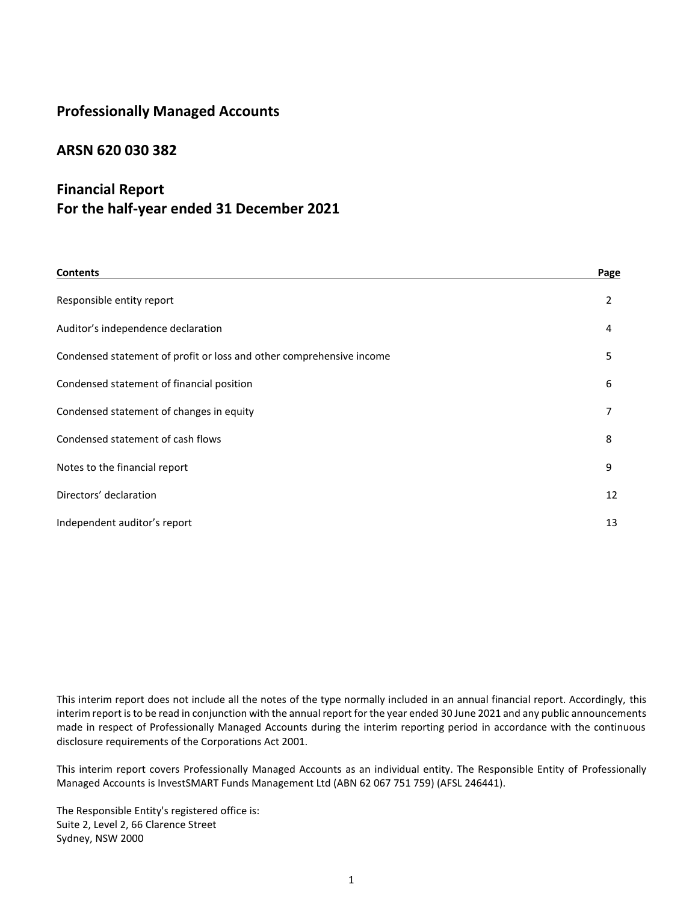# **Professionally Managed Accounts**

## **ARSN 620 030 382**

# **Financial Report For the half-year ended 31 December 2021**

| <b>Contents</b>                                                      | Page |
|----------------------------------------------------------------------|------|
| Responsible entity report                                            | 2    |
| Auditor's independence declaration                                   | 4    |
| Condensed statement of profit or loss and other comprehensive income | 5    |
| Condensed statement of financial position                            | 6    |
| Condensed statement of changes in equity                             | 7    |
| Condensed statement of cash flows                                    | 8    |
| Notes to the financial report                                        | 9    |
| Directors' declaration                                               | 12   |
| Independent auditor's report                                         | 13   |

This interim report does not include all the notes of the type normally included in an annual financial report. Accordingly, this interim report is to be read in conjunction with the annual report for the year ended 30 June 2021 and any public announcements made in respect of Professionally Managed Accounts during the interim reporting period in accordance with the continuous disclosure requirements of the Corporations Act 2001.

This interim report covers Professionally Managed Accounts as an individual entity. The Responsible Entity of Professionally Managed Accounts is InvestSMART Funds Management Ltd (ABN 62 067 751 759) (AFSL 246441).

The Responsible Entity's registered office is: Suite 2, Level 2, 66 Clarence Street Sydney, NSW 2000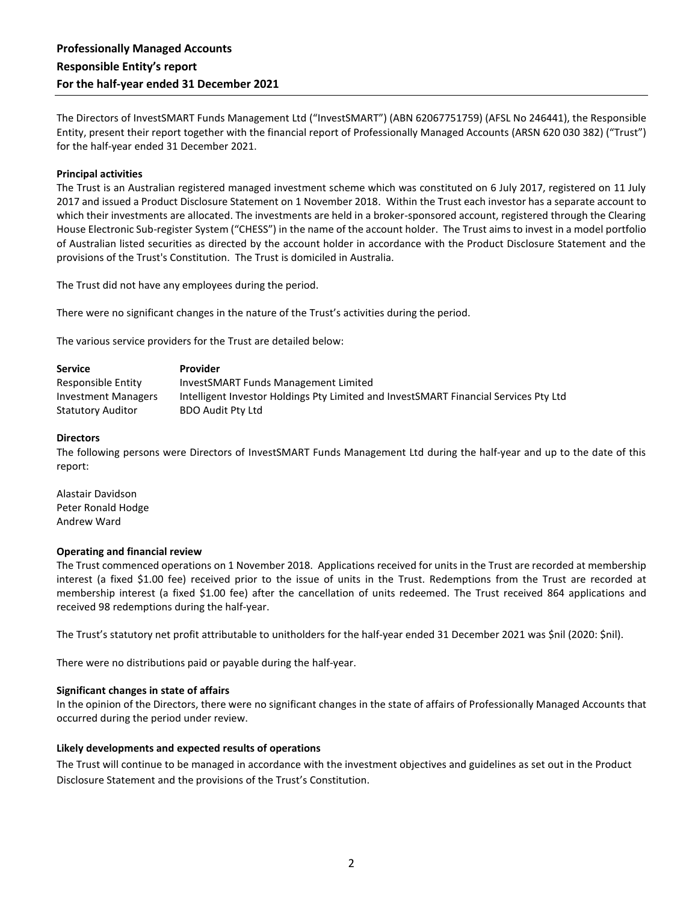The Directors of InvestSMART Funds Management Ltd ("InvestSMART") (ABN 62067751759) (AFSL No 246441), the Responsible Entity, present their report together with the financial report of Professionally Managed Accounts (ARSN 620 030 382) ("Trust") for the half-year ended 31 December 2021.

#### **Principal activities**

The Trust is an Australian registered managed investment scheme which was constituted on 6 July 2017, registered on 11 July 2017 and issued a Product Disclosure Statement on 1 November 2018. Within the Trust each investor has a separate account to which their investments are allocated. The investments are held in a broker-sponsored account, registered through the Clearing House Electronic Sub-register System ("CHESS") in the name of the account holder. The Trust aims to invest in a model portfolio of Australian listed securities as directed by the account holder in accordance with the Product Disclosure Statement and the provisions of the Trust's Constitution. The Trust is domiciled in Australia.

The Trust did not have any employees during the period.

There were no significant changes in the nature of the Trust's activities during the period.

The various service providers for the Trust are detailed below:

| <b>Service</b>             | <b>Provider</b>                                                                      |
|----------------------------|--------------------------------------------------------------------------------------|
| Responsible Entity         | InvestSMART Funds Management Limited                                                 |
| <b>Investment Managers</b> | Intelligent Investor Holdings Pty Limited and InvestSMART Financial Services Pty Ltd |
| <b>Statutory Auditor</b>   | <b>BDO Audit Pty Ltd</b>                                                             |

#### **Directors**

The following persons were Directors of InvestSMART Funds Management Ltd during the half-year and up to the date of this report:

Alastair Davidson Peter Ronald Hodge Andrew Ward

#### **Operating and financial review**

The Trust commenced operations on 1 November 2018. Applications received for units in the Trust are recorded at membership interest (a fixed \$1.00 fee) received prior to the issue of units in the Trust. Redemptions from the Trust are recorded at membership interest (a fixed \$1.00 fee) after the cancellation of units redeemed. The Trust received 864 applications and received 98 redemptions during the half-year.

The Trust's statutory net profit attributable to unitholders for the half-year ended 31 December 2021 was \$nil (2020: \$nil).

There were no distributions paid or payable during the half-year.

#### **Significant changes in state of affairs**

In the opinion of the Directors, there were no significant changes in the state of affairs of Professionally Managed Accounts that occurred during the period under review.

#### **Likely developments and expected results of operations**

The Trust will continue to be managed in accordance with the investment objectives and guidelines as set out in the Product Disclosure Statement and the provisions of the Trust's Constitution.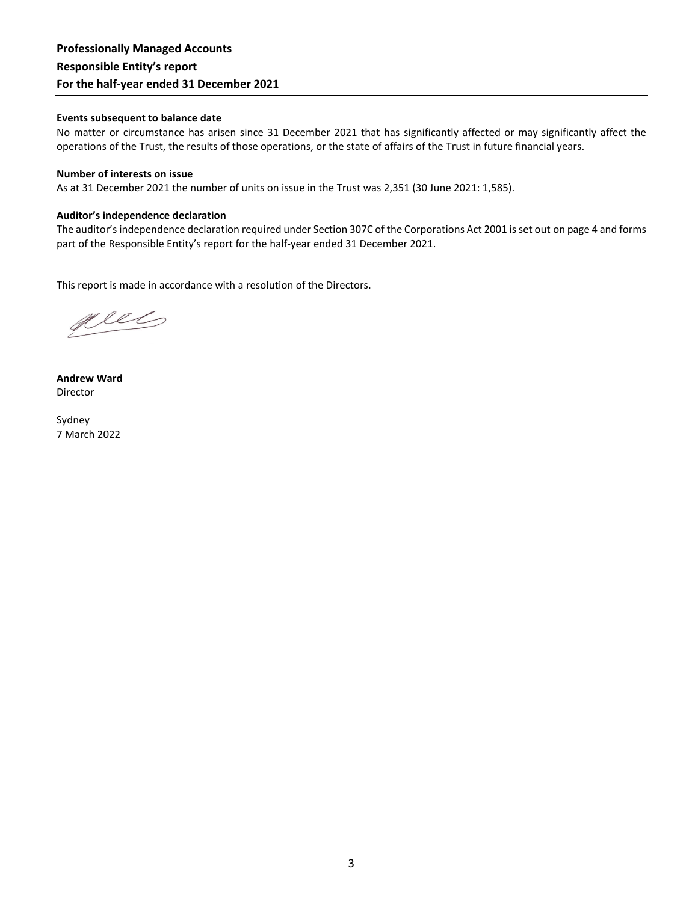## **Professionally Managed Accounts Responsible Entity's report For the half-year ended 31 December 2021**

#### **Events subsequent to balance date**

No matter or circumstance has arisen since 31 December 2021 that has significantly affected or may significantly affect the operations of the Trust, the results of those operations, or the state of affairs of the Trust in future financial years.

#### **Number of interests on issue**

As at 31 December 2021 the number of units on issue in the Trust was 2,351 (30 June 2021: 1,585).

#### **Auditor's independence declaration**

The auditor's independence declaration required under Section 307C of the Corporations Act 2001 is set out on page 4 and forms part of the Responsible Entity's report for the half-year ended 31 December 2021.

This report is made in accordance with a resolution of the Directors.

plet

**Andrew Ward** Director

Sydney 7 March 2022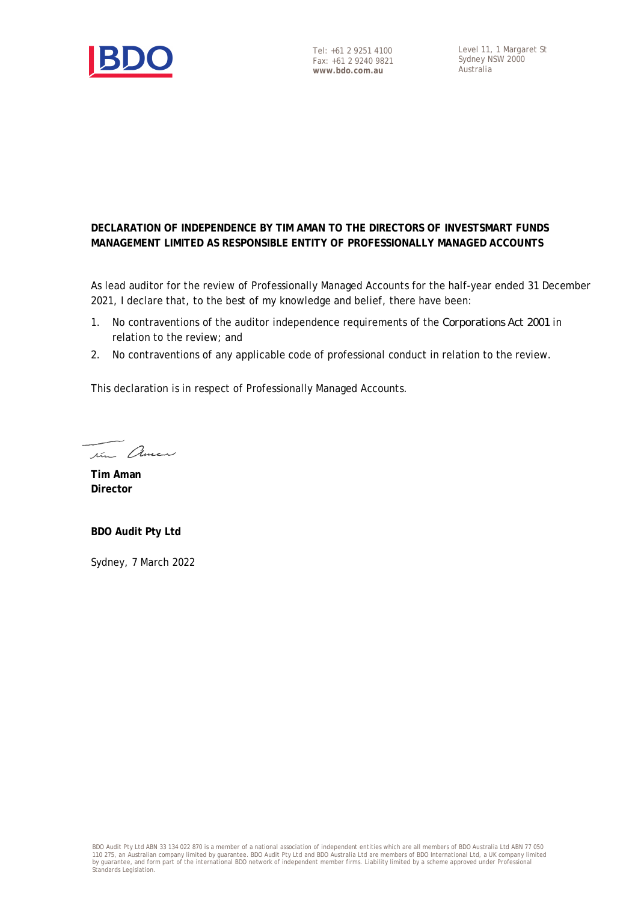

### **DECLARATION OF INDEPENDENCE BY TIM AMAN TO THE DIRECTORS OF INVESTSMART FUNDS MANAGEMENT LIMITED AS RESPONSIBLE ENTITY OF PROFESSIONALLY MANAGED ACCOUNTS**

As lead auditor for the review of Professionally Managed Accounts for the half-year ended 31 December 2021, I declare that, to the best of my knowledge and belief, there have been:

- 1. No contraventions of the auditor independence requirements of the *Corporations Act 2001* in relation to the review; and
- 2. No contraventions of any applicable code of professional conduct in relation to the review.

This declaration is in respect of Professionally Managed Accounts.

tim Amen

**Tim Aman Director**

**BDO Audit Pty Ltd**

Sydney, 7 March 2022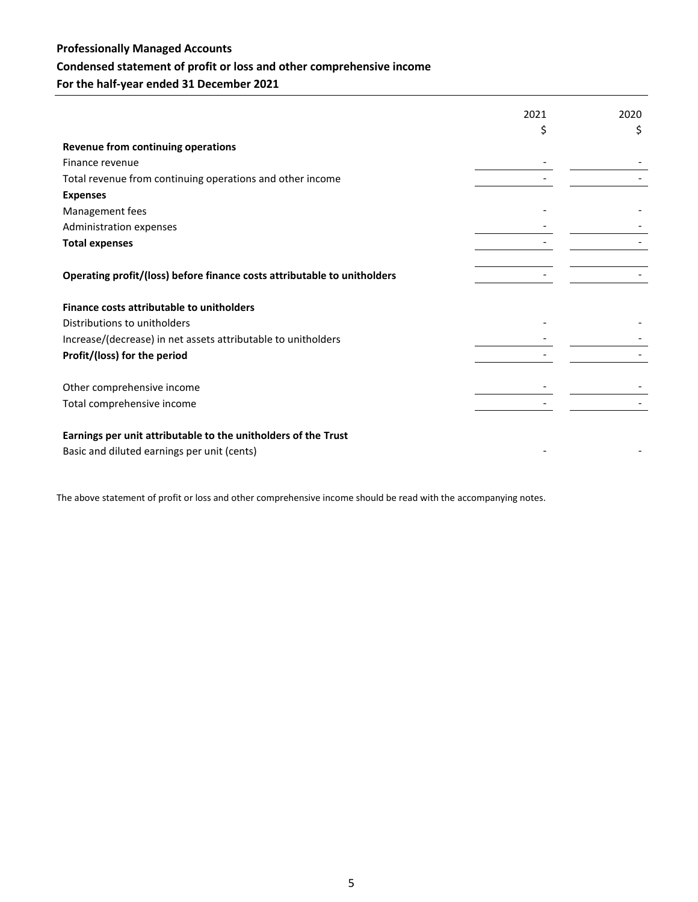# **Professionally Managed Accounts Condensed statement of profit or loss and other comprehensive income For the half-year ended 31 December 2021**

2021 2020 \$ \$ **Revenue from continuing operations** Finance revenue Total revenue from continuing operations and other income - - **Expenses** Management fees - - Administration expenses **Total expenses** - - **Operating profit/(loss) before finance costs attributable to unitholders** - - **Finance costs attributable to unitholders** Distributions to unitholders Increase/(decrease) in net assets attributable to unitholders - - **Profit/(loss) for the period** - - Other comprehensive income and the state of the state of the state of the state of the state of the state of the state of the state of the state of the state of the state of the state of the state of the state of the state Total comprehensive income **Earnings per unit attributable to the unitholders of the Trust** Basic and diluted earnings per unit (cents)

The above statement of profit or loss and other comprehensive income should be read with the accompanying notes.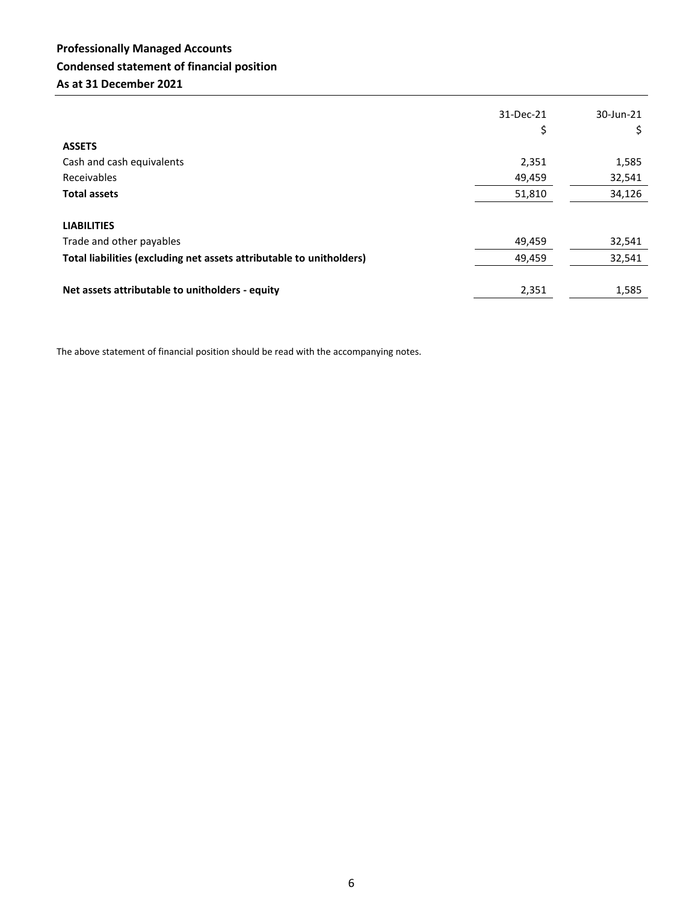# **Professionally Managed Accounts Condensed statement of financial position As at 31 December 2021**

|                                                                      | 31-Dec-21 | 30-Jun-21 |
|----------------------------------------------------------------------|-----------|-----------|
|                                                                      | \$        |           |
| <b>ASSETS</b>                                                        |           |           |
| Cash and cash equivalents                                            | 2,351     | 1,585     |
| Receivables                                                          | 49,459    | 32,541    |
| <b>Total assets</b>                                                  | 51,810    | 34,126    |
|                                                                      |           |           |
| <b>LIABILITIES</b>                                                   |           |           |
| Trade and other payables                                             | 49,459    | 32,541    |
| Total liabilities (excluding net assets attributable to unitholders) | 49,459    | 32,541    |
|                                                                      |           |           |
| Net assets attributable to unitholders - equity                      | 2,351     | 1,585     |

The above statement of financial position should be read with the accompanying notes.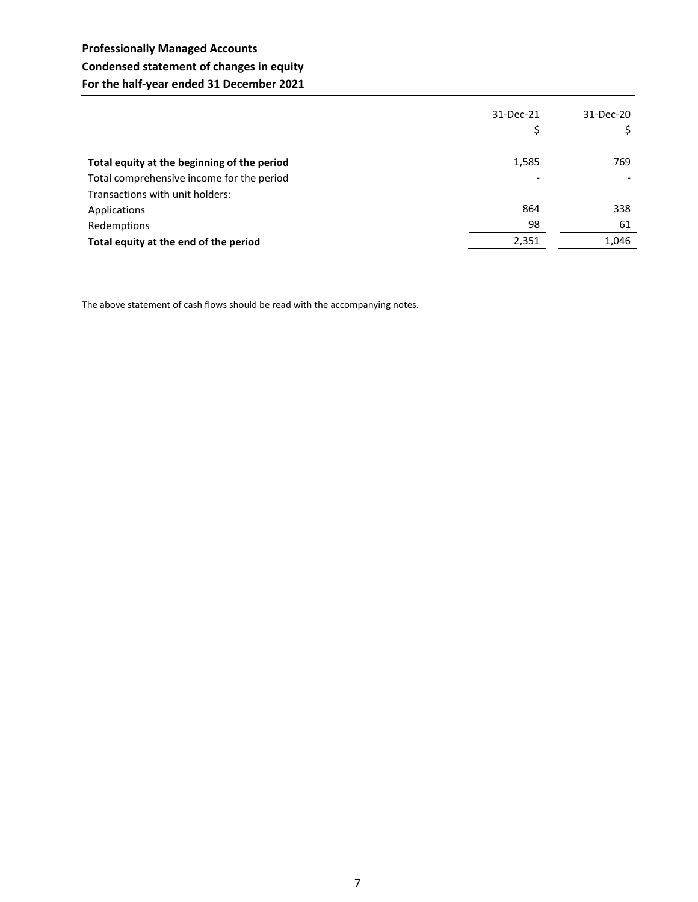# **Professionally Managed Accounts Condensed statement of changes in equity For the half-year ended 31 December 2021**

|                                             | 31-Dec-21       | 31-Dec-20 |
|---------------------------------------------|-----------------|-----------|
| Total equity at the beginning of the period | 1,585           | 769       |
| Total comprehensive income for the period   | $\qquad \qquad$ |           |
| Transactions with unit holders:             |                 |           |
| Applications                                | 864             | 338       |
| Redemptions                                 | 98              | 61        |
| Total equity at the end of the period       | 2,351           | 1,046     |

The above statement of cash flows should be read with the accompanying notes.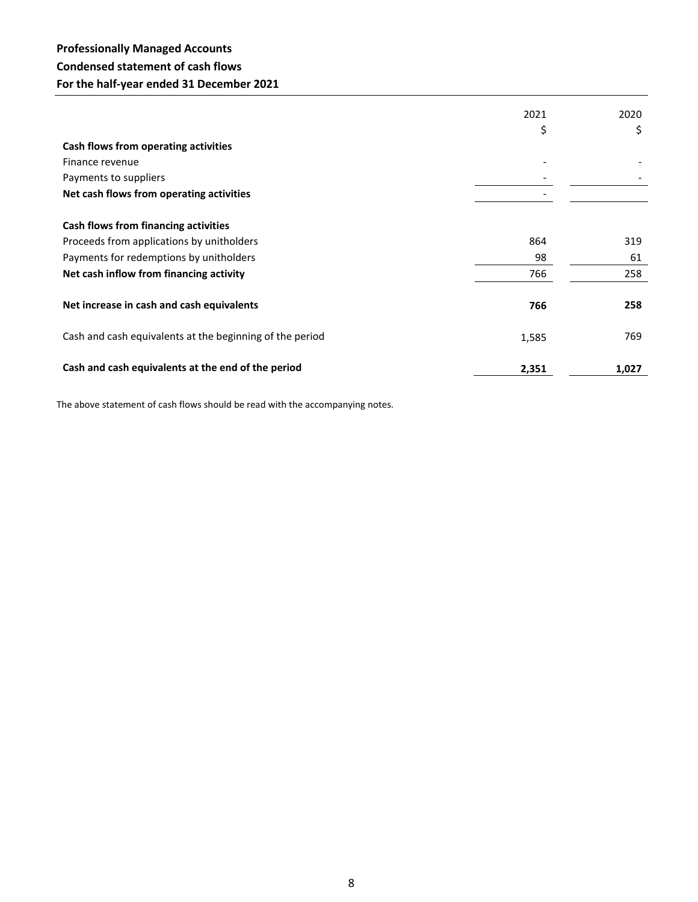# **Professionally Managed Accounts Condensed statement of cash flows For the half-year ended 31 December 2021**

|                                                          | 2021  | 2020  |
|----------------------------------------------------------|-------|-------|
|                                                          | \$    | \$    |
| Cash flows from operating activities                     |       |       |
| Finance revenue                                          |       |       |
| Payments to suppliers                                    |       |       |
| Net cash flows from operating activities                 |       |       |
| Cash flows from financing activities                     |       |       |
| Proceeds from applications by unitholders                | 864   | 319   |
| Payments for redemptions by unitholders                  | 98    | 61    |
| Net cash inflow from financing activity                  | 766   | 258   |
| Net increase in cash and cash equivalents                | 766   | 258   |
| Cash and cash equivalents at the beginning of the period | 1,585 | 769   |
| Cash and cash equivalents at the end of the period       | 2,351 | 1,027 |

The above statement of cash flows should be read with the accompanying notes.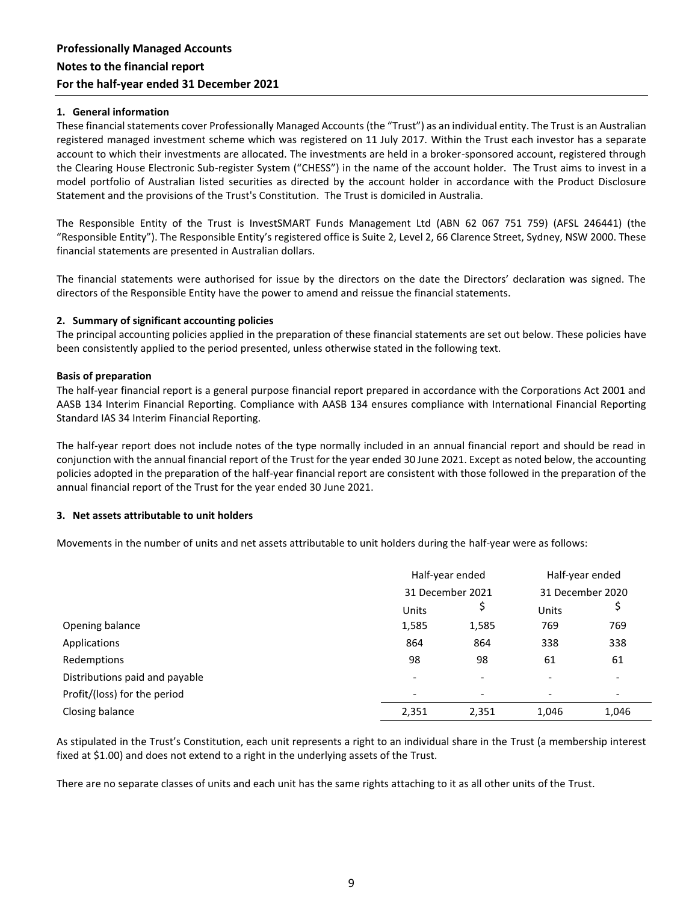#### **1. General information**

These financial statements cover Professionally Managed Accounts (the "Trust") as an individual entity. The Trust is an Australian registered managed investment scheme which was registered on 11 July 2017. Within the Trust each investor has a separate account to which their investments are allocated. The investments are held in a broker-sponsored account, registered through the Clearing House Electronic Sub-register System ("CHESS") in the name of the account holder. The Trust aims to invest in a model portfolio of Australian listed securities as directed by the account holder in accordance with the Product Disclosure Statement and the provisions of the Trust's Constitution. The Trust is domiciled in Australia.

The Responsible Entity of the Trust is InvestSMART Funds Management Ltd (ABN 62 067 751 759) (AFSL 246441) (the "Responsible Entity"). The Responsible Entity's registered office is Suite 2, Level 2, 66 Clarence Street, Sydney, NSW 2000. These financial statements are presented in Australian dollars.

The financial statements were authorised for issue by the directors on the date the Directors' declaration was signed. The directors of the Responsible Entity have the power to amend and reissue the financial statements.

#### **2. Summary of significant accounting policies**

The principal accounting policies applied in the preparation of these financial statements are set out below. These policies have been consistently applied to the period presented, unless otherwise stated in the following text.

#### **Basis of preparation**

The half-year financial report is a general purpose financial report prepared in accordance with the Corporations Act 2001 and AASB 134 Interim Financial Reporting. Compliance with AASB 134 ensures compliance with International Financial Reporting Standard IAS 34 Interim Financial Reporting.

The half-year report does not include notes of the type normally included in an annual financial report and should be read in conjunction with the annual financial report of the Trust for the year ended 30 June 2021. Except as noted below, the accounting policies adopted in the preparation of the half-year financial report are consistent with those followed in the preparation of the annual financial report of the Trust for the year ended 30 June 2021.

#### **3. Net assets attributable to unit holders**

Movements in the number of units and net assets attributable to unit holders during the half-year were as follows:

|                                | Half-year ended<br>31 December 2021 |       | Half-year ended<br>31 December 2020 |       |
|--------------------------------|-------------------------------------|-------|-------------------------------------|-------|
|                                |                                     |       |                                     |       |
|                                | Units                               | Ş     | Units                               |       |
| Opening balance                | 1,585                               | 1,585 | 769                                 | 769   |
| Applications                   | 864                                 | 864   | 338                                 | 338   |
| Redemptions                    | 98                                  | 98    | 61                                  | 61    |
| Distributions paid and payable |                                     |       |                                     |       |
| Profit/(loss) for the period   | -                                   |       | $\overline{\phantom{a}}$            |       |
| Closing balance                | 2,351                               | 2,351 | 1,046                               | 1,046 |

As stipulated in the Trust's Constitution, each unit represents a right to an individual share in the Trust (a membership interest fixed at \$1.00) and does not extend to a right in the underlying assets of the Trust.

There are no separate classes of units and each unit has the same rights attaching to it as all other units of the Trust.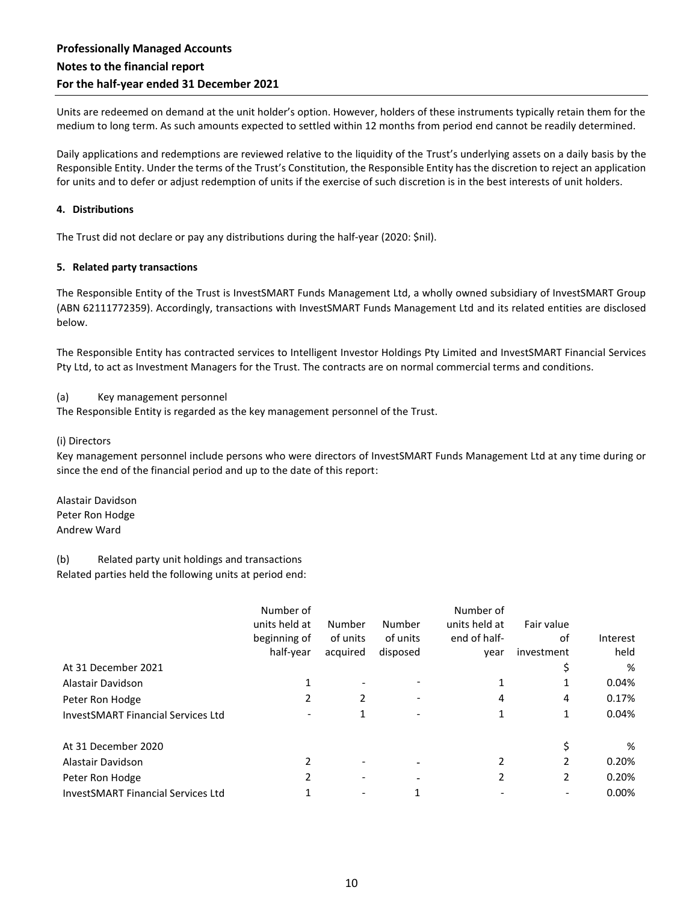Units are redeemed on demand at the unit holder's option. However, holders of these instruments typically retain them for the medium to long term. As such amounts expected to settled within 12 months from period end cannot be readily determined.

Daily applications and redemptions are reviewed relative to the liquidity of the Trust's underlying assets on a daily basis by the Responsible Entity. Under the terms of the Trust's Constitution, the Responsible Entity has the discretion to reject an application for units and to defer or adjust redemption of units if the exercise of such discretion is in the best interests of unit holders.

#### **4. Distributions**

The Trust did not declare or pay any distributions during the half-year (2020: \$nil).

#### **5. Related party transactions**

The Responsible Entity of the Trust is InvestSMART Funds Management Ltd, a wholly owned subsidiary of InvestSMART Group (ABN 62111772359). Accordingly, transactions with InvestSMART Funds Management Ltd and its related entities are disclosed below.

The Responsible Entity has contracted services to Intelligent Investor Holdings Pty Limited and InvestSMART Financial Services Pty Ltd, to act as Investment Managers for the Trust. The contracts are on normal commercial terms and conditions.

(a) Key management personnel

The Responsible Entity is regarded as the key management personnel of the Trust.

#### (i) Directors

Key management personnel include persons who were directors of InvestSMART Funds Management Ltd at any time during or since the end of the financial period and up to the date of this report:

Alastair Davidson Peter Ron Hodge Andrew Ward

(b) Related party unit holdings and transactions Related parties held the following units at period end:

|                                           | Number of     |          |                          | Number of     |            |          |
|-------------------------------------------|---------------|----------|--------------------------|---------------|------------|----------|
|                                           | units held at | Number   | Number                   | units held at | Fair value |          |
|                                           | beginning of  | of units | of units                 | end of half-  | of         | Interest |
|                                           | half-year     | acquired | disposed                 | year          | investment | held     |
| At 31 December 2021                       |               |          |                          |               |            | %        |
| Alastair Davidson                         |               |          |                          |               | 1          | 0.04%    |
| Peter Ron Hodge                           | 2             | 2        |                          | 4             | 4          | 0.17%    |
| <b>InvestSMART Financial Services Ltd</b> |               |          |                          |               | 1          | 0.04%    |
| At 31 December 2020                       |               |          |                          |               |            | %        |
| Alastair Davidson                         |               |          |                          | 2             | 2          | 0.20%    |
| Peter Ron Hodge                           | 2             |          | $\overline{\phantom{0}}$ | $\mathcal{P}$ | 2          | 0.20%    |
| <b>InvestSMART Financial Services Ltd</b> |               |          |                          |               |            | 0.00%    |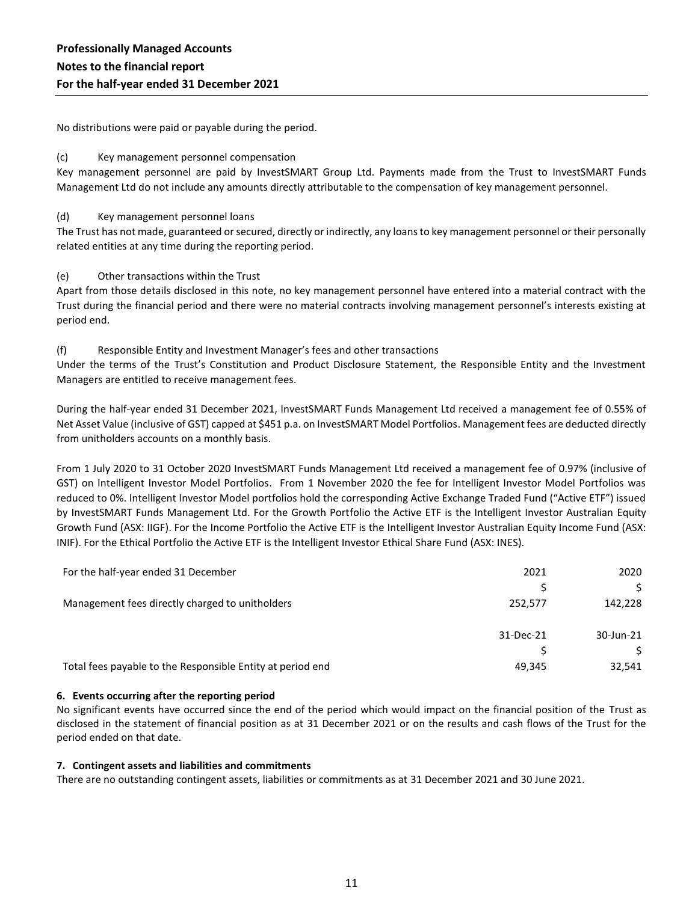No distributions were paid or payable during the period.

#### (c) Key management personnel compensation

Key management personnel are paid by InvestSMART Group Ltd. Payments made from the Trust to InvestSMART Funds Management Ltd do not include any amounts directly attributable to the compensation of key management personnel.

#### (d) Key management personnel loans

The Trust has not made, guaranteed or secured, directly or indirectly, any loans to key management personnel or their personally related entities at any time during the reporting period.

#### (e) Other transactions within the Trust

Apart from those details disclosed in this note, no key management personnel have entered into a material contract with the Trust during the financial period and there were no material contracts involving management personnel's interests existing at period end.

#### (f) Responsible Entity and Investment Manager's fees and other transactions

Under the terms of the Trust's Constitution and Product Disclosure Statement, the Responsible Entity and the Investment Managers are entitled to receive management fees.

During the half-year ended 31 December 2021, InvestSMART Funds Management Ltd received a management fee of 0.55% of Net Asset Value (inclusive of GST) capped at \$451 p.a. on InvestSMART Model Portfolios. Management fees are deducted directly from unitholders accounts on a monthly basis.

From 1 July 2020 to 31 October 2020 InvestSMART Funds Management Ltd received a management fee of 0.97% (inclusive of GST) on Intelligent Investor Model Portfolios. From 1 November 2020 the fee for Intelligent Investor Model Portfolios was reduced to 0%. Intelligent Investor Model portfolios hold the corresponding Active Exchange Traded Fund ("Active ETF") issued by InvestSMART Funds Management Ltd. For the Growth Portfolio the Active ETF is the Intelligent Investor Australian Equity Growth Fund (ASX: IIGF). For the Income Portfolio the Active ETF is the Intelligent Investor Australian Equity Income Fund (ASX: INIF). For the Ethical Portfolio the Active ETF is the Intelligent Investor Ethical Share Fund (ASX: INES).

| For the half-year ended 31 December                        | 2021      | 2020      |
|------------------------------------------------------------|-----------|-----------|
|                                                            |           |           |
| Management fees directly charged to unitholders            | 252,577   | 142,228   |
|                                                            | 31-Dec-21 | 30-Jun-21 |
|                                                            |           |           |
| Total fees payable to the Responsible Entity at period end | 49,345    | 32,541    |

#### **6. Events occurring after the reporting period**

No significant events have occurred since the end of the period which would impact on the financial position of the Trust as disclosed in the statement of financial position as at 31 December 2021 or on the results and cash flows of the Trust for the period ended on that date.

#### **7. Contingent assets and liabilities and commitments**

There are no outstanding contingent assets, liabilities or commitments as at 31 December 2021 and 30 June 2021.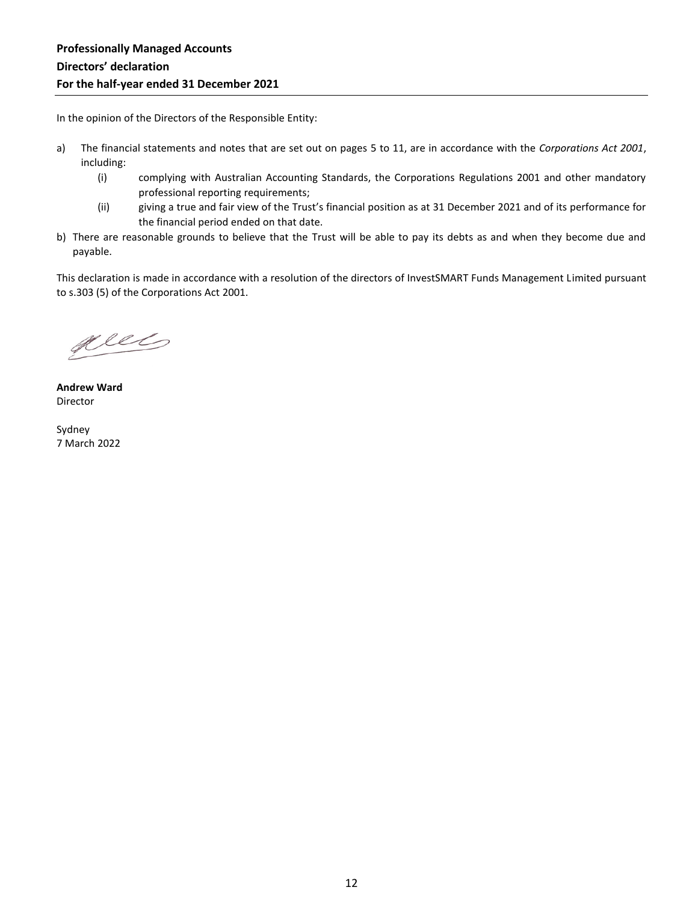In the opinion of the Directors of the Responsible Entity:

- a) The financial statements and notes that are set out on pages 5 to 11, are in accordance with the *Corporations Act 2001*, including:
	- (i) complying with Australian Accounting Standards, the Corporations Regulations 2001 and other mandatory professional reporting requirements;
	- (ii) giving a true and fair view of the Trust's financial position as at 31 December 2021 and of its performance for the financial period ended on that date.
- b) There are reasonable grounds to believe that the Trust will be able to pay its debts as and when they become due and payable.

This declaration is made in accordance with a resolution of the directors of InvestSMART Funds Management Limited pursuant to s.303 (5) of the Corporations Act 2001.

plets

**Andrew Ward** Director

Sydney 7 March 2022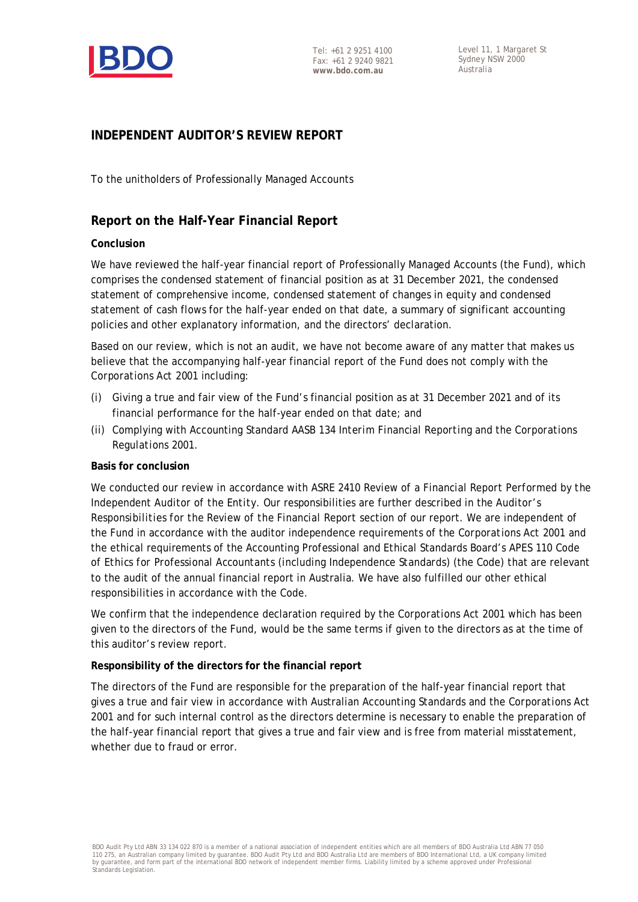

# **INDEPENDENT AUDITOR'S REVIEW REPORT**

To the unitholders of Professionally Managed Accounts

### **Report on the Half-Year Financial Report**

### **Conclusion**

We have reviewed the half-year financial report of Professionally Managed Accounts (the Fund), which comprises the condensed statement of financial position as at 31 December 2021, the condensed statement of comprehensive income, condensed statement of changes in equity and condensed statement of cash flows for the half-year ended on that date, a summary of significant accounting policies and other explanatory information, and the directors' declaration.

Based on our review, which is not an audit, we have not become aware of any matter that makes us believe that the accompanying half-year financial report of the Fund does not comply with the *Corporations Act 2001* including:

- (i) Giving a true and fair view of the Fund's financial position as at 31 December 2021 and of its financial performance for the half-year ended on that date; and
- (ii) Complying with Accounting Standard AASB 134 *Interim Financial Reporting* and the *Corporations Regulations 2001*.

### **Basis for conclusion**

We conducted our review in accordance with ASRE 2410 *Review of a Financial Report Performed by the Independent Auditor of the Entity*. Our responsibilities are further described in the *Auditor's Responsibilities for the Review of the Financial Report* section of our report. We are independent of the Fund in accordance with the auditor independence requirements of the *Corporations Act 2001* and the ethical requirements of the Accounting Professional and Ethical Standards Board's APES 110 *Code of Ethics for Professional Accountants (including Independence Standards)* (the Code) that are relevant to the audit of the annual financial report in Australia. We have also fulfilled our other ethical responsibilities in accordance with the Code.

We confirm that the independence declaration required by the *Corporations Act 2001* which has been given to the directors of the Fund, would be the same terms if given to the directors as at the time of this auditor's review report.

### **Responsibility of the directors for the financial report**

The directors of the Fund are responsible for the preparation of the half-year financial report that gives a true and fair view in accordance with Australian Accounting Standards and the *Corporations Act 2001* and for such internal control as the directors determine is necessary to enable the preparation of the half-year financial report that gives a true and fair view and is free from material misstatement, whether due to fraud or error.